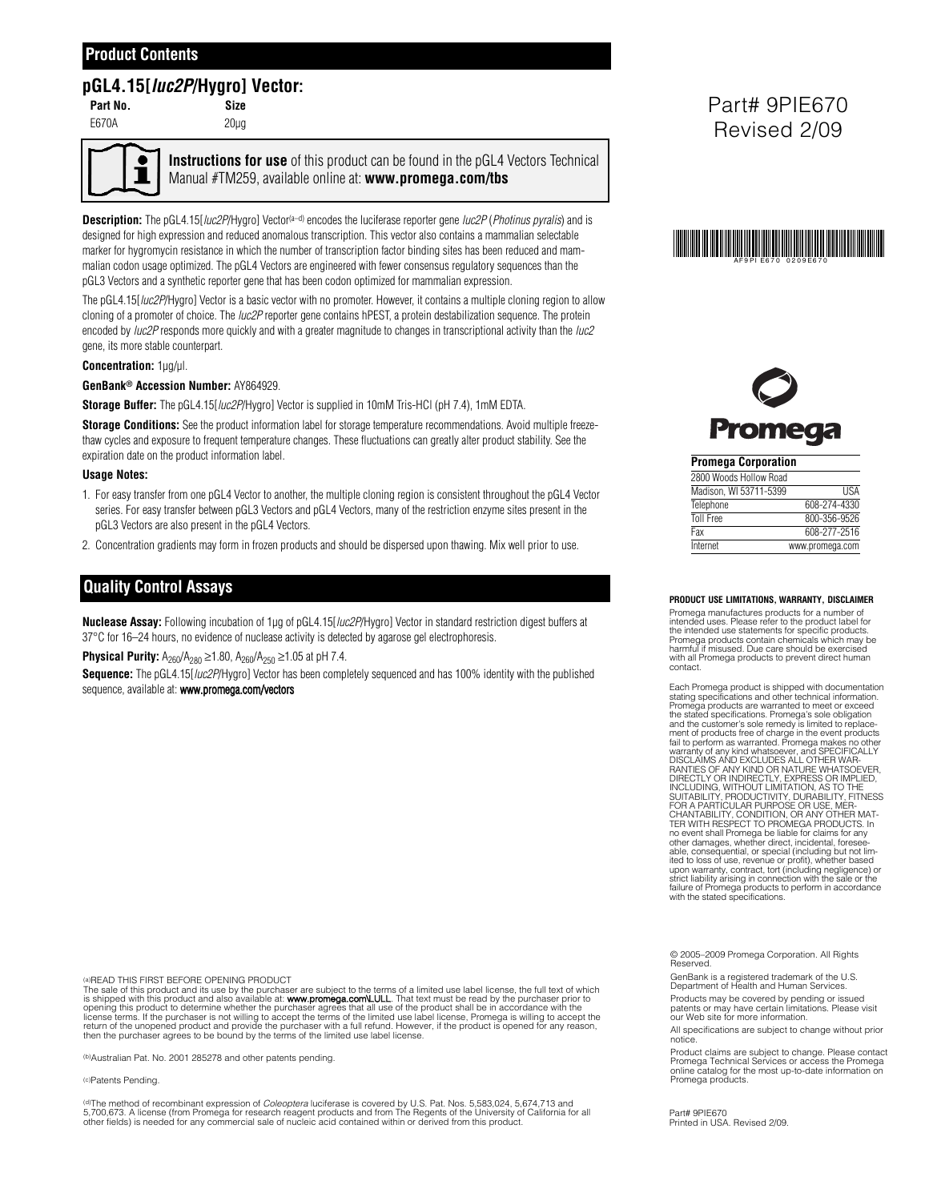## **Product Contents**

# **pGL4.15[luc2P/Hygro] Vector:**

**Part No. Size** E670A 20µg

**Instructions for use** of this product can be found in the pGL4 Vectors Technical Manual #TM259, available online at: **www.promega.com/tbs**

**Description:** The pGL4.15[*luc2P*/Hygro] Vector<sup>(a–d)</sup> encodes the luciferase reporter gene *luc2P* (*Photinus pyralis*) and is designed for high expression and reduced anomalous transcription. This vector also contains a mammalian selectable marker for hygromycin resistance in which the number of transcription factor binding sites has been reduced and mammalian codon usage optimized. The pGL4 Vectors are engineered with fewer consensus regulatory sequences than the pGL3 Vectors and a synthetic reporter gene that has been codon optimized for mammalian expression.

The pGL4.15[*luc2P*/Hygro] Vector is a basic vector with no promoter. However, it contains a multiple cloning region to allow cloning of a promoter of choice. The *luc2P* reporter gene contains hPEST, a protein destabilization sequence. The protein encoded by *luc2P* responds more quickly and with a greater magnitude to changes in transcriptional activity than the *luc2* gene, its more stable counterpart.

#### **Concentration:** 1µg/µl.

### **GenBank® Accession Number:** AY864929.

**Storage Buffer:** The pGL4.15[*luc2P*/Hygro] Vector is supplied in 10mM Tris-HCl (pH 7.4), 1mM EDTA.

**Storage Conditions:** See the product information label for storage temperature recommendations. Avoid multiple freezethaw cycles and exposure to frequent temperature changes. These fluctuations can greatly alter product stability. See the expiration date on the product information label.

#### **Usage Notes:**

- 1. For easy transfer from one pGL4 Vector to another, the multiple cloning region is consistent throughout the pGL4 Vector series. For easy transfer between pGL3 Vectors and pGL4 Vectors, many of the restriction enzyme sites present in the pGL3 Vectors are also present in the pGL4 Vectors.
- 2. Concentration gradients may form in frozen products and should be dispersed upon thawing. Mix well prior to use.

## **Quality Control Assays**

**Nuclease Assay:** Following incubation of 1µg of pGL4.15[luc2P/Hygro] Vector in standard restriction digest buffers at 37°C for 16–24 hours, no evidence of nuclease activity is detected by agarose gel electrophoresis.

**Physical Purity:**  $A_{260}/A_{280} \ge 1.80$ ,  $A_{260}/A_{250} \ge 1.05$  at pH 7.4.

**Sequence:** The pGL4.15[luc2P/Hygro] Vector has been completely sequenced and has 100% identity with the published sequence, available at: www.promega.com/vectors

(a)READ THIS FIRST BEFORE OPENING PRODUCT

The sale of this product and its use by the purchaser are subject to the terms of a limited use label license, the full text of which<br>is shipped with this product and also available at: www.promega.com/LULL That text must return of the unopened product and provide the purchaser with a full refund. However, if the product is opened for any reason, then the purchaser agrees to be bound by the terms of the limited use label license.

(b)Australian Pat. No. 2001 285278 and other patents pending.

(c)Patents Pending.

<sup>(d)</sup>The method of recombinant expression of *Coleoptera* luciferase is covered by U.S. Pat. Nos. 5,583,024, 5,674,713 and<br>5,700,673. A license (from Promega for research reagent products and from The Regents of the Unive

Part# 9PIE670 Revised 2/09





**Promega Corporation**

| 2800 Woods Hollow Road |                 |
|------------------------|-----------------|
| Madison, WI 53711-5399 | <b>IISA</b>     |
| Telephone              | 608-274-4330    |
| <b>Toll Free</b>       | 800-356-9526    |
| Fax                    | 608-277-2516    |
| Internet               | www.promega.com |

**PRODUCT USE LIMITATIONS, WARRANTY, DISCLAIMER**

Promega manufactures products for a number of intended uses. Please refer to the product label for the intended use statements for specific products.<br>Promega products contain chemicals which may be<br>harmful if misused. Due care should be exercised<br>with all Promega products to prevent direct human contact.

Each Promega product is shipped with documentation stating specifications and other technical information. Promega products are warranted to meet or exceed the stated specifications. Promega's sole obligation<br>and the customer's sole remedy is limited to replace-<br>ment of products free of charge in the event products<br>fail to perform as warranted. Promega makes no other<br>warranty TER WITH RESPECT TO PROMEGA PRODUCTS. In no event shall Promega be liable for claims for any other damages, whether direct, incidental, foreseeable, consequential, or special (including but not limited to loss of use, revenue or profit), whether based<br>upon warranty, contract, tort (including negligence) or<br>strict liability arising in connection with the sale or t

© 2005–2009 Promega Corporation. All Rights Reserved

GenBank is a registered trademark of the U.S. Department of Health and Human Services. Products may be covered by pending or issued patents or may have certain limitations. Please visit our Web site for more information.

All specifications are subject to change without prior notice.

Product claims are subject to change. Please contact Promega Technical Services or access the Promega online catalog for the most up-to-date information on Promega products.

Part# 9PIE670 Printed in USA. Revised 2/09.